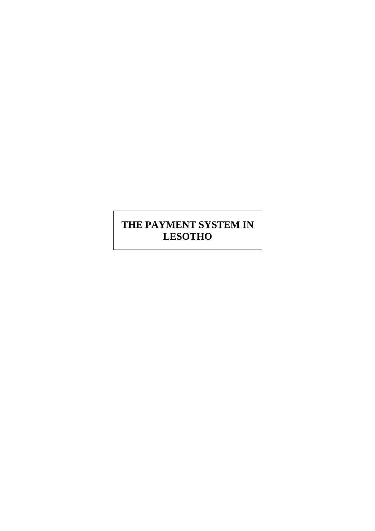# **THE PAYMENT SYSTEM IN LESOTHO**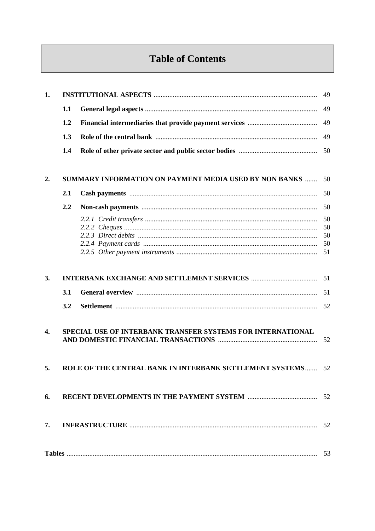## **Table of Contents**

| 1.               |     |                                                             |          |  |  |  |
|------------------|-----|-------------------------------------------------------------|----------|--|--|--|
|                  | 1.1 |                                                             | 49       |  |  |  |
|                  | 1.2 |                                                             | 49       |  |  |  |
|                  | 1.3 |                                                             | 49       |  |  |  |
|                  | 1.4 |                                                             |          |  |  |  |
| 2.               |     | SUMMARY INFORMATION ON PAYMENT MEDIA USED BY NON BANKS      | 50       |  |  |  |
|                  | 2.1 |                                                             | 50       |  |  |  |
|                  | 2.2 |                                                             | 50       |  |  |  |
|                  |     |                                                             | 50       |  |  |  |
|                  |     |                                                             | 50<br>50 |  |  |  |
|                  |     |                                                             | 50       |  |  |  |
|                  |     |                                                             | 51       |  |  |  |
| 3.               |     |                                                             |          |  |  |  |
|                  | 3.1 |                                                             |          |  |  |  |
|                  | 3.2 |                                                             |          |  |  |  |
| $\overline{4}$ . |     | SPECIAL USE OF INTERBANK TRANSFER SYSTEMS FOR INTERNATIONAL |          |  |  |  |
| 5.               |     | ROLE OF THE CENTRAL BANK IN INTERBANK SETTLEMENT SYSTEMS 52 |          |  |  |  |
| 6.               |     |                                                             |          |  |  |  |
| 7.               |     |                                                             |          |  |  |  |
|                  |     |                                                             |          |  |  |  |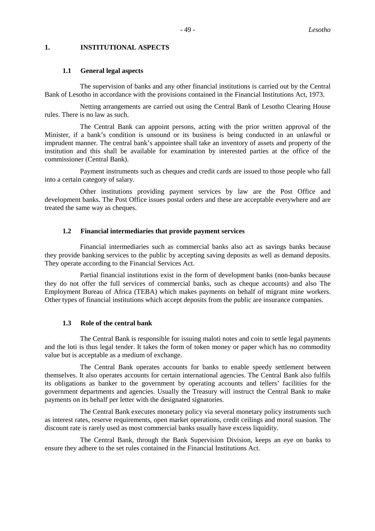#### **1. INSTITUTIONAL ASPECTS**

#### **1.1 General legal aspects**

The supervision of banks and any other financial institutions is carried out by the Central Bank of Lesotho in accordance with the provisions contained in the Financial Institutions Act, 1973.

Netting arrangements are carried out using the Central Bank of Lesotho Clearing House rules. There is no law as such.

The Central Bank can appoint persons, acting with the prior written approval of the Minister, if a bank's condition is unsound or its business is being conducted in an unlawful or imprudent manner. The central bank's appointee shall take an inventory of assets and property of the institution and this shall be available for examination by interested parties at the office of the commissioner (Central Bank).

Payment instruments such as cheques and credit cards are issued to those people who fall into a certain category of salary.

Other institutions providing payment services by law are the Post Office and development banks. The Post Office issues postal orders and these are acceptable everywhere and are treated the same way as cheques.

#### **1.2 Financial intermediaries that provide payment services**

Financial intermediaries such as commercial banks also act as savings banks because they provide banking services to the public by accepting saving deposits as well as demand deposits. They operate according to the Financial Services Act.

Partial financial institutions exist in the form of development banks (non-banks because they do not offer the full services of commercial banks, such as cheque accounts) and also The Employment Bureau of Africa (TEBA) which makes payments on behalf of migrant mine workers. Other types of financial institutions which accept deposits from the public are insurance companies.

#### **1.3 Role of the central bank**

The Central Bank is responsible for issuing maloti notes and coin to settle legal payments and the loti is thus legal tender. It takes the form of token money or paper which has no commodity value but is acceptable as a medium of exchange.

The Central Bank operates accounts for banks to enable speedy settlement between themselves. It also operates accounts for certain international agencies. The Central Bank also fulfils its obligations as banker to the government by operating accounts and tellers' facilities for the government departments and agencies. Usually the Treasury will instruct the Central Bank to make payments on its behalf per letter with the designated signatories.

The Central Bank executes monetary policy via several monetary policy instruments such as interest rates, reserve requirements, open market operations, credit ceilings and moral suasion. The discount rate is rarely used as most commercial banks usually have excess liquidity.

The Central Bank, through the Bank Supervision Division, keeps an eye on banks to ensure they adhere to the set rules contained in the Financial Institutions Act.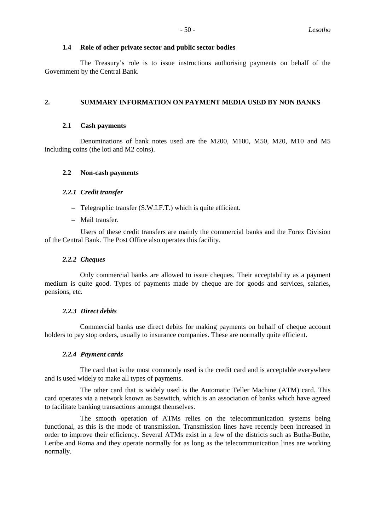#### **1.4 Role of other private sector and public sector bodies**

The Treasury's role is to issue instructions authorising payments on behalf of the Government by the Central Bank.

#### **2. SUMMARY INFORMATION ON PAYMENT MEDIA USED BY NON BANKS**

#### **2.1 Cash payments**

Denominations of bank notes used are the M200, M100, M50, M20, M10 and M5 including coins (the loti and M2 coins).

#### **2.2 Non-cash payments**

#### *2.2.1 Credit transfer*

- Telegraphic transfer (S.W.I.F.T.) which is quite efficient.
- Mail transfer.

Users of these credit transfers are mainly the commercial banks and the Forex Division of the Central Bank. The Post Office also operates this facility.

#### *2.2.2 Cheques*

Only commercial banks are allowed to issue cheques. Their acceptability as a payment medium is quite good. Types of payments made by cheque are for goods and services, salaries, pensions, etc.

#### *2.2.3 Direct debits*

Commercial banks use direct debits for making payments on behalf of cheque account holders to pay stop orders, usually to insurance companies. These are normally quite efficient.

#### *2.2.4 Payment cards*

The card that is the most commonly used is the credit card and is acceptable everywhere and is used widely to make all types of payments.

The other card that is widely used is the Automatic Teller Machine (ATM) card. This card operates via a network known as Saswitch, which is an association of banks which have agreed to facilitate banking transactions amongst themselves.

The smooth operation of ATMs relies on the telecommunication systems being functional, as this is the mode of transmission. Transmission lines have recently been increased in order to improve their efficiency. Several ATMs exist in a few of the districts such as Butha-Buthe, Leribe and Roma and they operate normally for as long as the telecommunication lines are working normally.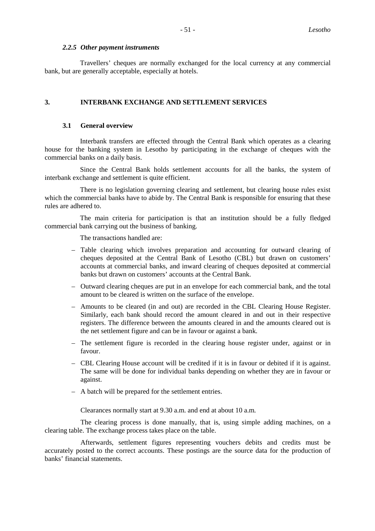#### *2.2.5 Other payment instruments*

Travellers' cheques are normally exchanged for the local currency at any commercial bank, but are generally acceptable, especially at hotels.

#### **3. INTERBANK EXCHANGE AND SETTLEMENT SERVICES**

#### **3.1 General overview**

Interbank transfers are effected through the Central Bank which operates as a clearing house for the banking system in Lesotho by participating in the exchange of cheques with the commercial banks on a daily basis.

Since the Central Bank holds settlement accounts for all the banks, the system of interbank exchange and settlement is quite efficient.

There is no legislation governing clearing and settlement, but clearing house rules exist which the commercial banks have to abide by. The Central Bank is responsible for ensuring that these rules are adhered to.

The main criteria for participation is that an institution should be a fully fledged commercial bank carrying out the business of banking.

The transactions handled are:

- Table clearing which involves preparation and accounting for outward clearing of cheques deposited at the Central Bank of Lesotho (CBL) but drawn on customers' accounts at commercial banks, and inward clearing of cheques deposited at commercial banks but drawn on customers' accounts at the Central Bank.
- Outward clearing cheques are put in an envelope for each commercial bank, and the total amount to be cleared is written on the surface of the envelope.
- Amounts to be cleared (in and out) are recorded in the CBL Clearing House Register. Similarly, each bank should record the amount cleared in and out in their respective registers. The difference between the amounts cleared in and the amounts cleared out is the net settlement figure and can be in favour or against a bank.
- The settlement figure is recorded in the clearing house register under, against or in favour.
- CBL Clearing House account will be credited if it is in favour or debited if it is against. The same will be done for individual banks depending on whether they are in favour or against.
- A batch will be prepared for the settlement entries.

Clearances normally start at 9.30 a.m. and end at about 10 a.m.

The clearing process is done manually, that is, using simple adding machines, on a clearing table. The exchange process takes place on the table.

Afterwards, settlement figures representing vouchers debits and credits must be accurately posted to the correct accounts. These postings are the source data for the production of banks' financial statements.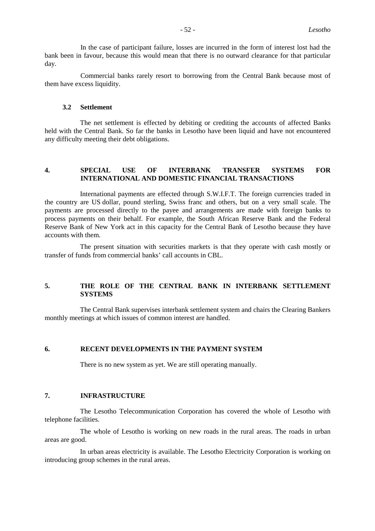In the case of participant failure, losses are incurred in the form of interest lost had the bank been in favour, because this would mean that there is no outward clearance for that particular day.

Commercial banks rarely resort to borrowing from the Central Bank because most of them have excess liquidity.

#### **3.2 Settlement**

The net settlement is effected by debiting or crediting the accounts of affected Banks held with the Central Bank. So far the banks in Lesotho have been liquid and have not encountered any difficulty meeting their debt obligations.

#### **4. SPECIAL USE OF INTERBANK TRANSFER SYSTEMS FOR INTERNATIONAL AND DOMESTIC FINANCIAL TRANSACTIONS**

International payments are effected through S.W.I.F.T. The foreign currencies traded in the country are US dollar, pound sterling, Swiss franc and others, but on a very small scale. The payments are processed directly to the payee and arrangements are made with foreign banks to process payments on their behalf. For example, the South African Reserve Bank and the Federal Reserve Bank of New York act in this capacity for the Central Bank of Lesotho because they have accounts with them.

The present situation with securities markets is that they operate with cash mostly or transfer of funds from commercial banks' call accounts in CBL.

#### **5. THE ROLE OF THE CENTRAL BANK IN INTERBANK SETTLEMENT SYSTEMS**

The Central Bank supervises interbank settlement system and chairs the Clearing Bankers monthly meetings at which issues of common interest are handled.

#### **6. RECENT DEVELOPMENTS IN THE PAYMENT SYSTEM**

There is no new system as yet. We are still operating manually.

#### **7. INFRASTRUCTURE**

The Lesotho Telecommunication Corporation has covered the whole of Lesotho with telephone facilities.

The whole of Lesotho is working on new roads in the rural areas. The roads in urban areas are good.

In urban areas electricity is available. The Lesotho Electricity Corporation is working on introducing group schemes in the rural areas.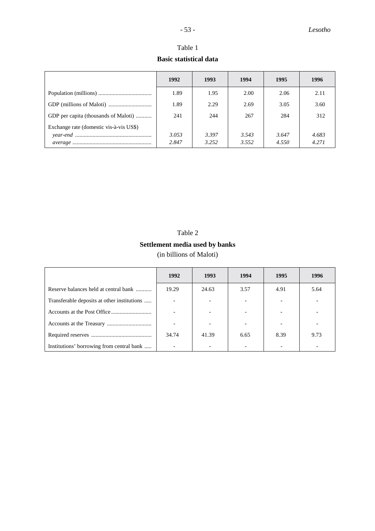## Table 1 **Basic statistical data**

|                                         | 1992  | 1993  | 1994  | 1995  | 1996  |
|-----------------------------------------|-------|-------|-------|-------|-------|
|                                         | 1.89  | 1.95  | 2.00  | 2.06  | 2.11  |
|                                         | 1.89  | 2.29  | 2.69  | 3.05  | 3.60  |
| GDP per capita (thousands of Maloti)    | 241   | 244   | 267   | 284   | 312   |
| Exchange rate (domestic vis-à-vis US\$) |       |       |       |       |       |
|                                         | 3.053 | 3.397 | 3.543 | 3.647 | 4.683 |
|                                         | 2.847 | 3.252 | 3.552 | 4.550 | 4.271 |

## Table 2 **Settlement media used by banks** (in billions of Maloti)

|                                             | 1992  | 1993  | 1994 | 1995 | 1996 |
|---------------------------------------------|-------|-------|------|------|------|
| Reserve balances held at central bank       | 19.29 | 24.63 | 3.57 | 4.91 | 5.64 |
| Transferable deposits at other institutions |       |       |      |      |      |
|                                             |       |       |      |      |      |
|                                             |       |       |      |      |      |
|                                             | 34.74 | 41.39 | 6.65 | 8.39 | 9.73 |
| Institutions' borrowing from central bank   |       |       |      |      |      |